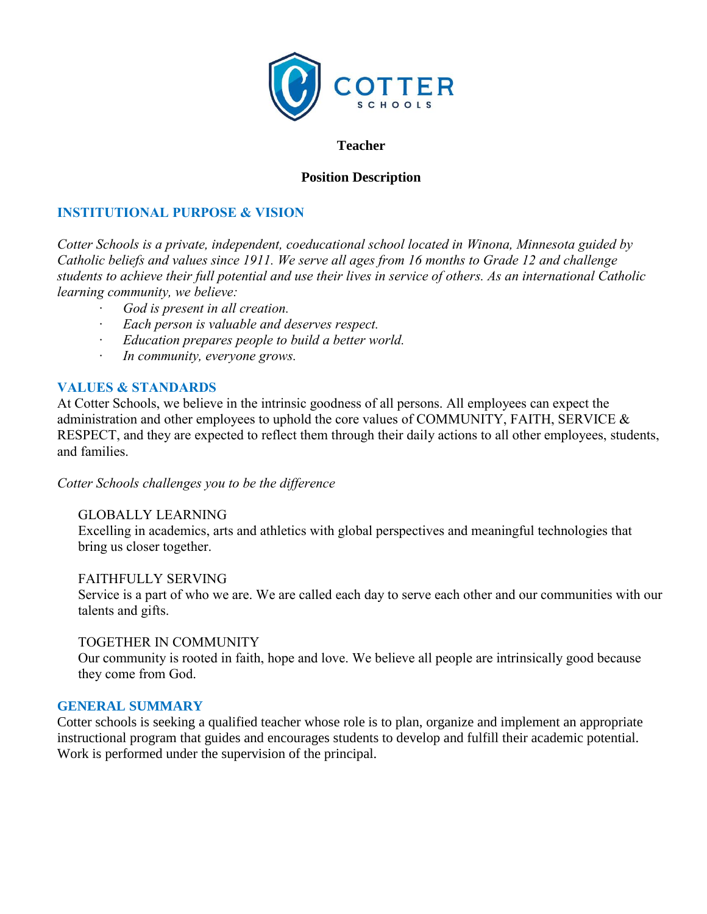

#### **Teacher**

## **Position Description**

# **INSTITUTIONAL PURPOSE & VISION**

*Cotter Schools is a private, independent, coeducational school located in Winona, Minnesota guided by Catholic beliefs and values since 1911. We serve all ages from 16 months to Grade 12 and challenge students to achieve their full potential and use their lives in service of others. As an international Catholic learning community, we believe:*

- *· God is present in all creation.*
- *· Each person is valuable and deserves respect.*
- *· Education prepares people to build a better world.*
- *· In community, everyone grows.*

### **VALUES & STANDARDS**

At Cotter Schools, we believe in the intrinsic goodness of all persons. All employees can expect the administration and other employees to uphold the core values of COMMUNITY, FAITH, SERVICE & RESPECT, and they are expected to reflect them through their daily actions to all other employees, students, and families.

*Cotter Schools challenges you to be the difference*

### GLOBALLY LEARNING

Excelling in academics, arts and athletics with global perspectives and meaningful technologies that bring us closer together.

FAITHFULLY SERVING Service is a part of who we are. We are called each day to serve each other and our communities with our talents and gifts.

### TOGETHER IN COMMUNITY

Our community is rooted in faith, hope and love. We believe all people are intrinsically good because they come from God.

### **GENERAL SUMMARY**

Cotter schools is seeking a qualified teacher whose role is to plan, organize and implement an appropriate instructional program that guides and encourages students to develop and fulfill their academic potential. Work is performed under the supervision of the principal.